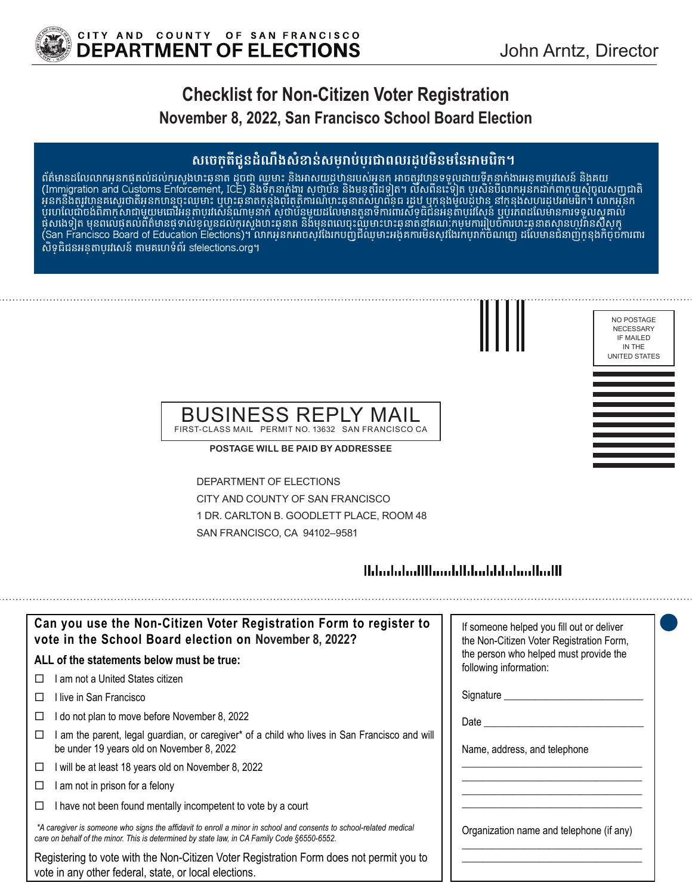

NO POSTAGE NECESSARY IF MAILED IN THE UNITED STATES

# **Checklist for Non-Citizen Voter Registration November 8, 2022, San Francisco School Board Election**

### **សេចក្តីជូនដំណឹងសំខាន់សម្រាប់ប្រជាពលរដ្ឋមិនមែនអាមេរិក។**

ពត៌មានដល់លោកអុនកផុតលដល់កុំស្ទេងបាះឆ្គុនាត ដូចជា ឈ្មួមាះ និងអាសយដ្ឋបានរបស់អ្ននកុំ អាចត្បូវបានទទួលដាយទូតុនាក់ងារអនុតាបុរសេន និងគយ (Immigration and Customs Enforcement, ICE) និងទភ្នំនាក់ងារ សុំថាបន និងមនុត្តរដទៀត។ លិសពិនេះទៀត បុរសនបលាកអ្ននកដាក់ពាក្យយុសុំចូលសញ្ជាជាតិ អ្ននកនិងតូរូវបានគណ្តោងអនកបានចុះឈ្មោះ ឬហ្វះឆ្គនាតកុន្តងពុរតុត្តការណ៍បាះឆ្គនាតសហពន្ធជ រដ្ឋប ឬកុន្មងមូលដ្ឋហិន នាកន្មងសហរដ្ឋបររាមរេក។ លាកអ្ននក ប្រហេលជាចង់ពិភាក្សាជាមួយមធោវីអនុតាបូរសែនណាមុនាក់ សុថាបន្តមួយដលៃមានតួនាទីការពារសទ្ធជជនអនុតាបូរស្រេន ឬប្រភពដលៃមានការទទួលស្តូគាល ផុសដេទ្យត មុនពលេផុតលពតមានផ្ទុទាលខុលួនដល់ក្នុរសួងបាះឆ្គុនាត នងមុនពលេចុះឈ្មួមាះបាះឆ្នូនាតនាគណៈកម្មមការប្រចាំការបាះឆ្លនាតស្ថានហ្សរានសត្ថក្ (San Francisco Board of Education Elections)។ លាកអ្ននកអាចស្]ងៃរកបញ្ជជឈមាះអង្គគការមនស្1ងេរកបុរាកចំណំញើ ដលៃមានជំនាញក្នុនុងកិច្ចចការពារ សិទ្ធិជនអន្តោប្រវេសន៍ តាមគេហទំព័រ sfelections.org។



#### BUSINESS REPL FIRST-CLASS MAIL PERMIT NO. 13632 SAN FRANCISCO CA

**POSTAGE WILL BE PAID BY ADDRESSEE**

DEPARTMENT OF ELECTIONS CITY AND COUNTY OF SAN FRANCISCO 1 DR. CARLTON B. GOODLETT PLACE, ROOM 48 SAN FRANCISCO, CA 94102–9581

### 

| Can you use the Non-Citizen Voter Registration Form to register to<br>vote in the School Board election on November 8, 2022?                                                                                      | If someone helped you fill out or deliver<br>the Non-Citizen Voter Registration Form, |
|-------------------------------------------------------------------------------------------------------------------------------------------------------------------------------------------------------------------|---------------------------------------------------------------------------------------|
| ALL of the statements below must be true:                                                                                                                                                                         | the person who helped must provide the<br>following information:                      |
| am not a United States citizen                                                                                                                                                                                    |                                                                                       |
| ⊟live in San Francisco                                                                                                                                                                                            | Signature _________                                                                   |
| I do not plan to move before November 8, 2022<br>⊔                                                                                                                                                                | Date                                                                                  |
| am the parent, legal guardian, or caregiver* of a child who lives in San Francisco and will<br>be under 19 years old on November 8, 2022                                                                          | Name, address, and telephone                                                          |
| will be at least 18 years old on November 8, 2022<br>□                                                                                                                                                            |                                                                                       |
| am not in prison for a felony<br>□                                                                                                                                                                                |                                                                                       |
| I have not been found mentally incompetent to vote by a court                                                                                                                                                     |                                                                                       |
| *A caregiver is someone who signs the affidavit to enroll a minor in school and consents to school-related medical<br>care on behalf of the minor. This is determined by state law, in CA Family Code §6550-6552. | Organization name and telephone (if any)                                              |
| Registering to vote with the Non-Citizen Voter Registration Form does not permit you to<br>vote in any other federal, state, or local elections.                                                                  |                                                                                       |